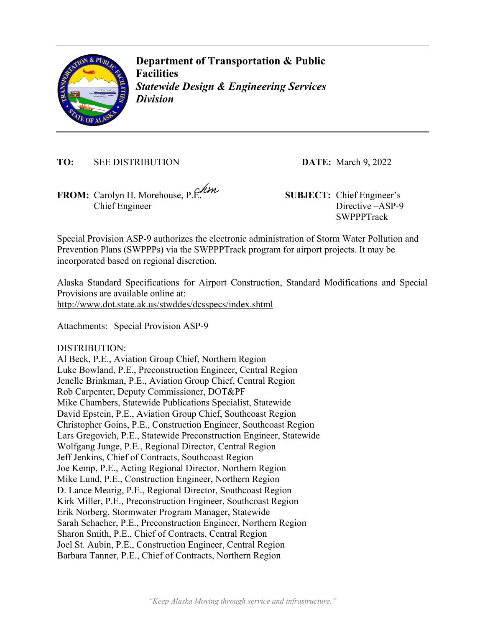

**Department of Transportation & Public Facilities**  *Statewide Design & Engineering Services Division* 

**TO:** SEE DISTRIBUTION **DATE:** March 9, 2022

**FROM:** Carolyn H. Morehouse, P.E. **SUBJECT:** Chief Engineer's Chief Engineer

Directive –ASP-9 **SWPPPTrack** 

Special Provision ASP-9 authorizes the electronic administration of Storm Water Pollution and Prevention Plans (SWPPPs) via the SWPPPTrack program for airport projects. It may be incorporated based on regional discretion.

Alaska Standard Specifications for Airport Construction, Standard Modifications and Special Provisions are available online at: http://www.dot.state.ak.us/stwddes/dcsspecs/index.shtml

Attachments: Special Provision ASP-9

DISTRIBUTION:

Al Beck, P.E., Aviation Group Chief, Northern Region Luke Bowland, P.E., Preconstruction Engineer, Central Region Jenelle Brinkman, P.E., Aviation Group Chief, Central Region Rob Carpenter, Deputy Commissioner, DOT&PF Mike Chambers, Statewide Publications Specialist, Statewide David Epstein, P.E., Aviation Group Chief, Southcoast Region Christopher Goins, P.E., Construction Engineer, Southcoast Region Lars Gregovich, P.E., Statewide Preconstruction Engineer, Statewide Wolfgang Junge, P.E., Regional Director, Central Region Jeff Jenkins, Chief of Contracts, Southcoast Region Joe Kemp, P.E., Acting Regional Director, Northern Region Mike Lund, P.E., Construction Engineer, Northern Region D. Lance Mearig, P.E., Regional Director, Southcoast Region Kirk Miller, P.E., Preconstruction Engineer, Southcoast Region Erik Norberg, Stormwater Program Manager, Statewide Sarah Schacher, P.E., Preconstruction Engineer, Northern Region Sharon Smith, P.E., Chief of Contracts, Central Region Joel St. Aubin, P.E., Construction Engineer, Central Region Barbara Tanner, P.E., Chief of Contracts, Northern Region